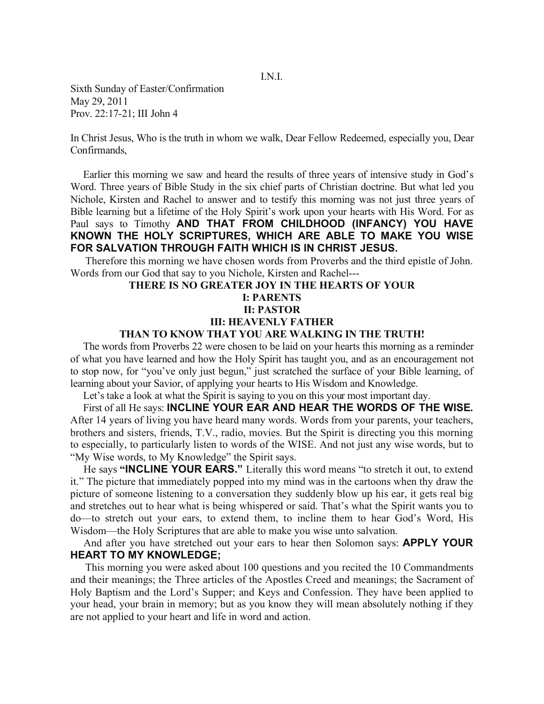Sixth Sunday of Easter/Confirmation May 29, 2011 Prov. 22:17-21; III John 4

In Christ Jesus, Who is the truth in whom we walk, Dear Fellow Redeemed, especially you, Dear Confirmands,

 Earlier this morning we saw and heard the results of three years of intensive study in God's Word. Three years of Bible Study in the six chief parts of Christian doctrine. But what led you Nichole, Kirsten and Rachel to answer and to testify this morning was not just three years of Bible learning but a lifetime of the Holy Spirit's work upon your hearts with His Word. For as Paul says to Timothy **AND THAT FROM CHILDHOOD (INFANCY) YOU HAVE KNOWN THE HOLY SCRIPTURES, WHICH ARE ABLE TO MAKE YOU WISE FOR SALVATION THROUGH FAITH WHICH IS IN CHRIST JESUS.** 

 Therefore this morning we have chosen words from Proverbs and the third epistle of John. Words from our God that say to you Nichole, Kirsten and Rachel---

## **THERE IS NO GREATER JOY IN THE HEARTS OF YOUR I: PARENTS II: PASTOR III: HEAVENLY FATHER**

## **THAN TO KNOW THAT YOU ARE WALKING IN THE TRUTH!**

The words from Proverbs 22 were chosen to be laid on your hearts this morning as a reminder of what you have learned and how the Holy Spirit has taught you, and as an encouragement not to stop now, for "you've only just begun," just scratched the surface of your Bible learning, of learning about your Savior, of applying your hearts to His Wisdom and Knowledge.

Let's take a look at what the Spirit is saying to you on this your most important day.

 First of all He says: **INCLINE YOUR EAR AND HEAR THE WORDS OF THE WISE.**  After 14 years of living you have heard many words. Words from your parents, your teachers, brothers and sisters, friends, T.V., radio, movies. But the Spirit is directing you this morning to especially, to particularly listen to words of the WISE. And not just any wise words, but to "My Wise words, to My Knowledge" the Spirit says.

 He says **"INCLINE YOUR EARS."** Literally this word means "to stretch it out, to extend it." The picture that immediately popped into my mind was in the cartoons when thy draw the picture of someone listening to a conversation they suddenly blow up his ear, it gets real big and stretches out to hear what is being whispered or said. That's what the Spirit wants you to do—to stretch out your ears, to extend them, to incline them to hear God's Word, His Wisdom—the Holy Scriptures that are able to make you wise unto salvation.

 And after you have stretched out your ears to hear then Solomon says: **APPLY YOUR HEART TO MY KNOWLEDGE;** 

This morning you were asked about 100 questions and you recited the 10 Commandments and their meanings; the Three articles of the Apostles Creed and meanings; the Sacrament of Holy Baptism and the Lord's Supper; and Keys and Confession. They have been applied to your head, your brain in memory; but as you know they will mean absolutely nothing if they are not applied to your heart and life in word and action.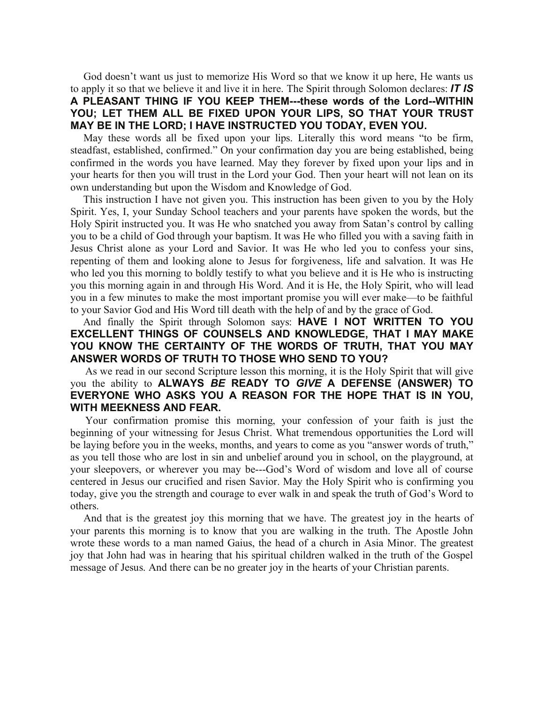God doesn't want us just to memorize His Word so that we know it up here, He wants us to apply it so that we believe it and live it in here. The Spirit through Solomon declares: *IT IS*  **A PLEASANT THING IF YOU KEEP THEM---these words of the Lord--WITHIN YOU; LET THEM ALL BE FIXED UPON YOUR LIPS, SO THAT YOUR TRUST MAY BE IN THE LORD; I HAVE INSTRUCTED YOU TODAY, EVEN YOU.** 

May these words all be fixed upon your lips. Literally this word means "to be firm, steadfast, established, confirmed." On your confirmation day you are being established, being confirmed in the words you have learned. May they forever by fixed upon your lips and in your hearts for then you will trust in the Lord your God. Then your heart will not lean on its own understanding but upon the Wisdom and Knowledge of God.

 This instruction I have not given you. This instruction has been given to you by the Holy Spirit. Yes, I, your Sunday School teachers and your parents have spoken the words, but the Holy Spirit instructed you. It was He who snatched you away from Satan's control by calling you to be a child of God through your baptism. It was He who filled you with a saving faith in Jesus Christ alone as your Lord and Savior. It was He who led you to confess your sins, repenting of them and looking alone to Jesus for forgiveness, life and salvation. It was He who led you this morning to boldly testify to what you believe and it is He who is instructing you this morning again in and through His Word. And it is He, the Holy Spirit, who will lead you in a few minutes to make the most important promise you will ever make—to be faithful to your Savior God and His Word till death with the help of and by the grace of God.

 And finally the Spirit through Solomon says: **HAVE I NOT WRITTEN TO YOU EXCELLENT THINGS OF COUNSELS AND KNOWLEDGE, THAT I MAY MAKE YOU KNOW THE CERTAINTY OF THE WORDS OF TRUTH, THAT YOU MAY ANSWER WORDS OF TRUTH TO THOSE WHO SEND TO YOU?** 

As we read in our second Scripture lesson this morning, it is the Holy Spirit that will give you the ability to **ALWAYS** *BE* **READY TO** *GIVE* **A DEFENSE (ANSWER) TO EVERYONE WHO ASKS YOU A REASON FOR THE HOPE THAT IS IN YOU, WITH MEEKNESS AND FEAR.** 

Your confirmation promise this morning, your confession of your faith is just the beginning of your witnessing for Jesus Christ. What tremendous opportunities the Lord will be laying before you in the weeks, months, and years to come as you "answer words of truth," as you tell those who are lost in sin and unbelief around you in school, on the playground, at your sleepovers, or wherever you may be---God's Word of wisdom and love all of course centered in Jesus our crucified and risen Savior. May the Holy Spirit who is confirming you today, give you the strength and courage to ever walk in and speak the truth of God's Word to others.

 And that is the greatest joy this morning that we have. The greatest joy in the hearts of your parents this morning is to know that you are walking in the truth. The Apostle John wrote these words to a man named Gaius, the head of a church in Asia Minor. The greatest joy that John had was in hearing that his spiritual children walked in the truth of the Gospel message of Jesus. And there can be no greater joy in the hearts of your Christian parents.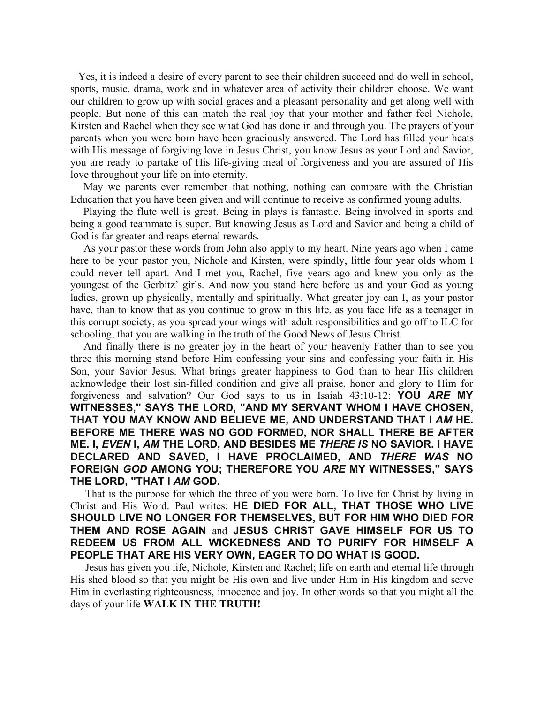Yes, it is indeed a desire of every parent to see their children succeed and do well in school, sports, music, drama, work and in whatever area of activity their children choose. We want our children to grow up with social graces and a pleasant personality and get along well with people. But none of this can match the real joy that your mother and father feel Nichole, Kirsten and Rachel when they see what God has done in and through you. The prayers of your parents when you were born have been graciously answered. The Lord has filled your heats with His message of forgiving love in Jesus Christ, you know Jesus as your Lord and Savior, you are ready to partake of His life-giving meal of forgiveness and you are assured of His love throughout your life on into eternity.

 May we parents ever remember that nothing, nothing can compare with the Christian Education that you have been given and will continue to receive as confirmed young adults.

 Playing the flute well is great. Being in plays is fantastic. Being involved in sports and being a good teammate is super. But knowing Jesus as Lord and Savior and being a child of God is far greater and reaps eternal rewards.

 As your pastor these words from John also apply to my heart. Nine years ago when I came here to be your pastor you, Nichole and Kirsten, were spindly, little four year olds whom I could never tell apart. And I met you, Rachel, five years ago and knew you only as the youngest of the Gerbitz' girls. And now you stand here before us and your God as young ladies, grown up physically, mentally and spiritually. What greater joy can I, as your pastor have, than to know that as you continue to grow in this life, as you face life as a teenager in this corrupt society, as you spread your wings with adult responsibilities and go off to ILC for schooling, that you are walking in the truth of the Good News of Jesus Christ.

 And finally there is no greater joy in the heart of your heavenly Father than to see you three this morning stand before Him confessing your sins and confessing your faith in His Son, your Savior Jesus. What brings greater happiness to God than to hear His children acknowledge their lost sin-filled condition and give all praise, honor and glory to Him for forgiveness and salvation? Our God says to us in Isaiah 43:10-12: **YOU** *ARE* **MY WITNESSES," SAYS THE LORD, "AND MY SERVANT WHOM I HAVE CHOSEN, THAT YOU MAY KNOW AND BELIEVE ME, AND UNDERSTAND THAT I** *AM* **HE. BEFORE ME THERE WAS NO GOD FORMED, NOR SHALL THERE BE AFTER ME. I,** *EVEN* **I,** *AM* **THE LORD, AND BESIDES ME** *THERE IS* **NO SAVIOR. I HAVE DECLARED AND SAVED, I HAVE PROCLAIMED, AND** *THERE WAS* **NO FOREIGN** *GOD* **AMONG YOU; THEREFORE YOU** *ARE* **MY WITNESSES," SAYS THE LORD, "THAT I** *AM* **GOD.** 

That is the purpose for which the three of you were born. To live for Christ by living in Christ and His Word. Paul writes: **HE DIED FOR ALL, THAT THOSE WHO LIVE SHOULD LIVE NO LONGER FOR THEMSELVES, BUT FOR HIM WHO DIED FOR THEM AND ROSE AGAIN** and **JESUS CHRIST GAVE HIMSELF FOR US TO REDEEM US FROM ALL WICKEDNESS AND TO PURIFY FOR HIMSELF A PEOPLE THAT ARE HIS VERY OWN, EAGER TO DO WHAT IS GOOD.** 

Jesus has given you life, Nichole, Kirsten and Rachel; life on earth and eternal life through His shed blood so that you might be His own and live under Him in His kingdom and serve Him in everlasting righteousness, innocence and joy. In other words so that you might all the days of your life **WALK IN THE TRUTH!**